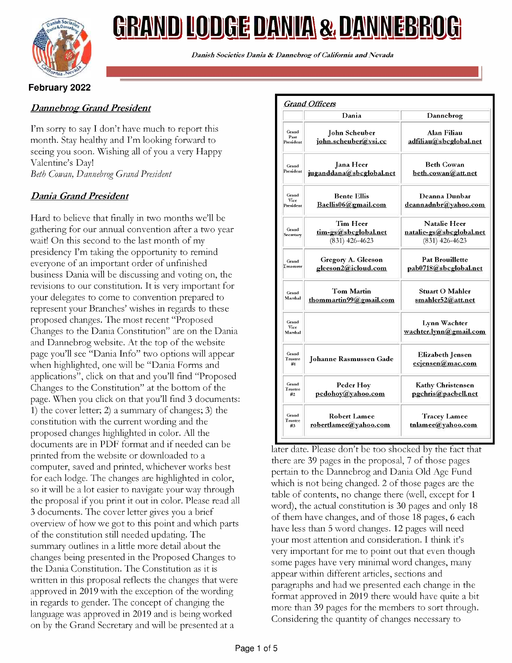

# <u>GRAND LODGE DANIA & DANNEBROG</u>

Danish Societies Dania & Dannebroz of California and Nevada

## February 2022

## Dannebrog Grand President

I'm sorry to say I don't have much to report this month. Stay healthy and I'm looking forward to seeing you soon. Wishing all of you a very Happy Valentine's Day! Beth Cowan, Dannebrog Grand President

# Dania Grand President

Hard to believe that finally in two months we'll be gathering for our annual convention after a two year wait! On this second to the last month of my presidency I'm taking the opportunity to remind everyone of an important order of unfinished business Dania will be discussing and voting on, the revisions to our constitution. It is very important for your delegates to come to convention prepared to represent your Branches' wishes in regards to these proposed changes. The most recent "Proposed Changes to the Dania Constitution" are on the Dania and Dannebrog website. At the top of the website page you'll see "Dania Info" two options will appear when highlighted, one will be "Dania Forms and applications", click on that and you'll find "Proposed Changes to the Constitution" at the bottom of the page. When you click on that you'll find <sup>3</sup> documents: 1) the cover letter; 2) a summary of changes; 3) the constitution with the current wording and the proposed changes highlighted in color. All the documents are in PDF format and if needed can be printed from the website or downloaded to a computer, saved and printed, whichever works best for each lodge. The changes are highlighted in color, so it will be a lot easier to navigate your way through the proposal if you print it out in color. Please read all <sup>3</sup> documents. The cover letter gives you a brief overview of how we got to this point and which parts of the constitution still needed updating. The summary outlines in a little more detail about the changes being presented in the Proposed Changes to the Dania Constitution. The Constitution as it is written in this proposal reflects the changes that were approved in 2019 with the exception of the wording in regards to gender. The concept of changing the language was approved in 2019 and is being worked on by the Grand Secretary and will be presented at a

|                            | Dania                                                | Dannebrog                                                           |  |
|----------------------------|------------------------------------------------------|---------------------------------------------------------------------|--|
| Grand<br>Past<br>President | John Scheuber<br>john.scheuber@vsi.cc                | Alan Filiau<br>adfiliau@sbcglobal.net                               |  |
| Grand<br>President         | <b>Jana</b> Heer<br>juganddana@sbcglobal.net         | <b>Beth Cowan</b><br>beth.cowan@att.net                             |  |
| Grand<br>Vice<br>President | <b>Bente Ellis</b><br>Baellis06@gmail.com            | Deanna Dunbar<br>deannadnbr@yahoo.com                               |  |
| Grand<br>Secretary         | Tim Heer<br>tim-gs@sbcglobal.net<br>$(831)$ 426-4623 | <b>Natalie Heer</b><br>natalie-gs@sbcglobal.net<br>$(831)$ 426-4623 |  |
| Grand<br>Treasurer         | Gregory A. Gleeson<br>gleeson2@icloud.com            | <b>Pat Brouillette</b><br>pab0718@sbcglobal.net                     |  |
| Grand<br>Marshal           | <b>Tom Martin</b><br>thommartin $99@g$ mail.com      | <b>Stuart O Mahler</b><br>smahler52@att.net                         |  |
| Grand<br>Vice<br>Marshal   |                                                      | Lynn Wachter<br>wachter.lynn@gmail.com                              |  |
| Grand<br>Trustee<br>#1     | Johanne Rasmussen Gade                               | <b>Elizabeth Jensen</b><br>ecjensen@mac.com                         |  |
| Grand<br>Trustee<br>#2     | Peder Hoy<br>pedohov@vahoo.com                       | <b>Kathy Christensen</b><br>pgchris@pacbell.net                     |  |
| Grand<br>Trustee<br>#3     | <b>Robert Lamee</b><br>robertlamee@yahoo.com         | <b>Tracey Lamee</b><br>tnlamee@yahoo.com                            |  |

later date. Please don't be too shocked by the fact that there are 39 pages in the proposal, 7 of those pages pertain to the Dannebrog and Dania Old Age Fund which is not being changed. <sup>2</sup> of those pages are the table of contents, no change there (well, except for 1 word), the actual constitution is 30 pages and only 18 of them have changes, and of those 18 pages, 6 each have less than 5 word changes. 12 pages will need your most attention and consideration. I think it's very important for me to point out that even though some pages have very minimal word changes, many appear within different articles, sections and paragraphs and had we presented each change in the format approved in 2019 there would have quite a bit more than 39 pages for the members to sort through. Considering the quantity of changes necessary to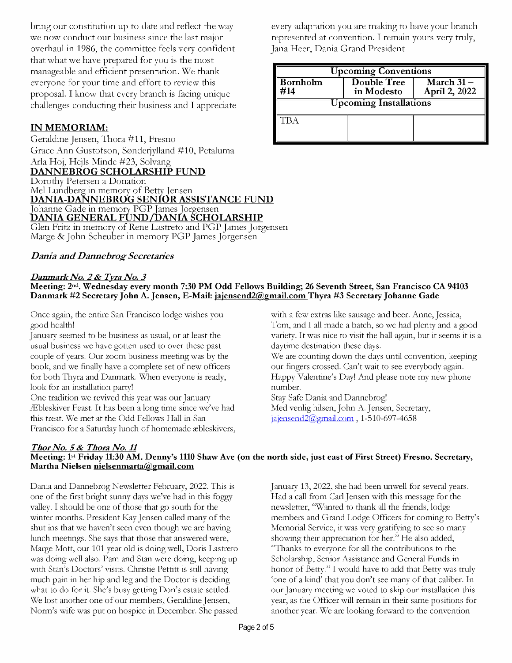bring our constitution up to date and reflect the way we now conduct our business since the last major overhaul in 1986, the committee feels very confident that what we have prepared for you is the most manageable and efficient presentation. We thank everyone for your time and effort to review this proposal. I know that every branch is facing unique challenges conducting their business and I appreciate

### IN MEMORIAM:

Geraldine Jensen, Thora #11, Fresno Grace Ann Gustofson, Sonderjylland #10, Petaluma Arla Hoj, Hejls Minde #23, Solvang DANNEBROG SCHOLARSHIP FUND Dorothy Petersen a Donation Mel Lundberg in memory of Betty Jensen **DANIA-DANNEBROG SENIÓR ASSISTANCE FUND**<br>Johanne Gade in memory PGP James Jorgensen DANIA GENERAL FUND/DANIA SCHOLARSHIP Glen Fritz in memory of Rene Lastreto and PGP James Jorgensen Marge & John Scheuber in memory PGP James Jorgensen

#### Dania and Dannebrog Secretaries

#### Danmark No. 2 & Tyra No. 3

## every adaptation you are making to have your branch represented at convention. I remain yours very truly, Jana Heer, Dania Grand President

| <b>Jpcoming Conventions</b>   |                                  |                                                 |  |  |
|-------------------------------|----------------------------------|-------------------------------------------------|--|--|
| <b>Bornholm</b><br>714        | <b>Double Tree</b><br>in Modesto | $\overline{\text{March}}$ 31 –<br>April 2, 2022 |  |  |
| <b>Upcoming Installations</b> |                                  |                                                 |  |  |
|                               |                                  |                                                 |  |  |
|                               |                                  |                                                 |  |  |

# Meeting: 2nd. Wednesday every month 7:30 PM Odd Fellows Building; 26 Seventh Street, San Francisco CA 94103 Danmark #2 Secretary John A. Jensen, E-Mail: jajensend2@gmail.com Thyra #3 Secretary Johanne Gade

Once again, the entire San Francisco lodge wishes you good health!

January seemed to be business as usual, or at least the usual business we have gotten used to over these past couple of years. Our zoom business meeting was by the book, and we finally have a complete set of new officers for both Thyra and Danmark. When everyone is ready, look for an installation party!

One tradition we revived this year was our January lEbleskiver Feast. It has been a long time since we've had this treat. We met at the Odd Fellows Hall in San Francisco for a Saturday lunch of homemade ebleskivers, with a few extras like sausage and beer. Anne, Jessica, Tom, and I all made a batch, so we had plenty and a good variety. It was nice to visit the hall again, but it seems it is a daytime destination these days.

We are counting down the days until convention, keeping our fingers crossed. Can't wait to see everybody again. Happy Valentine's Day! And please note my new phone number.

Stay Safe Dania and Dannebrog! Med venlig hilsen, John A. Jensen, Secretary,  $jajensend2(*Q*<sub>g</sub>mail.com, 1-510-697-4658)$ 

#### Thor No. 5 & Thora No. 11 Meeting: 1st Friday 11:30 AM. Denny's 1110 Shaw Ave (on the north side, just east of First Street) Fresno. Secretary, Martha Nielsen nielsenmarta@gmail.com

Dania and Dannebrog Newsletter February, 2022. This is one of the first bright sunny days we've had in this foggy valley. I should be one of those that go south for the winter months. President Kay Jensen called many of the shut ins that we haven't seen even though we are having lunch meetings. She says that those that answered were, Marge Mott, our 101 year old is doing well, Doris Lastreto was doing well also. Pam and Stan were doing, keeping up with Stan's Doctors' visits. Christie Pettitt is still having much pain in her hip and leg and the Doctor is deciding what to do for it. She's busy getting Don's estate settled. We lost another one of our members, Geraldine Jensen, Norm's wife was put on hospice in December. She passed January 13, 2022, she had been unwell for several years. Had a call from Carl Jensen with this message for the newsletter, "Wanted to thank all the friends, lodge members and Grand Lodge Officers for coming to Betty's Memorial Service, it was very gratifying to see so many showing their appreciation for her." He also added, "Thanks to everyone for all the contributions to the Scholarship, Senior Assistance and General Funds in honor of Betty." I would have to add that Betty was truly `one of a kind' that you don't see many of that caliber. In our January meeting we voted to skip our installation this year, as the Officer will remain in their same positions for another year. We are looking forward to the convention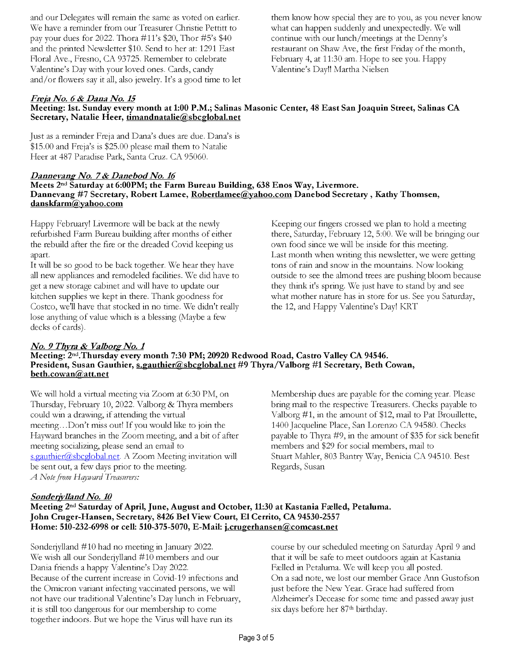and our Delegates will remain the same as voted on earlier. We have a reminder from our Treasurer Christie Pettitt to pay your dues for 2022. Thora #11's \$20, Thor #5's \$40 and the printed Newsletter \$10. Send to her at: 1291 East Floral Ave., Fresno, CA 93725. Remember to celebrate Valentine's Day with your loved ones. Cards, candy and/or flowers say it all, also jewelry. It's a good time to let

them know how special they are to you, as you never know what can happen suddenly and unexpectedly. We will continue with our lunch/meetings at the Denny's restaurant on Shaw Ave, the first Friday of the month, February 4, at 11:30 am. Hope to see you. Happy Valentine's Day!! Martha Nielsen

#### Freja No. 6 & Dana No. 15

#### Meeting: 1st. Sunday every month at 1:00 P.M.; Salinas Masonic Center, 48 East San Joaquin Street, Salinas CA Secretary, Natalie Heer, timandnatalie@sbcglobal.net

Just as a reminder Freja and Dana's dues are due. Dana's is \$15.00 and Freja's is \$25.00 please mail them to Natalie Heer at 487 Paradise Park, Santa Cruz. CA 95060.

#### Dannevang No. 7 & Danebod No. 16

#### Meets 2nd Saturday at 6:00PM; the Farm Bureau Building, 638 Enos Way, Livermore. Dannevang #7 Secretary, Robert Lamee, Robertlamee@yahoo.com Danebod Secretary, Kathy Thomsen, danskfarm@yahoo.com

Happy February! Livermore will be back at the newly refurbished Farm Bureau building after months of either the rebuild after the fire or the dreaded Covid keeping us apart.

It will be so good to be back together. We hear they have all new appliances and remodeled facilities. We did have to get a new storage cabinet and will have to update our kitchen supplies we kept in there. Thank goodness for Costco, we'll have that stocked in no time. We didn't really lose anything of value which is a blessing (Maybe a few decks of cards).

#### No. 9 Thyra & Valborg No. 1

#### Meeting: 2nd.Thursday every month 7:30 PM; 20920 Redwood Road, Castro Valley CA 94546. President, Susan Gauthier, s.gauthier@sbcglobal.net #9 Thyra/Valborg #1 Secretary, Beth Cowan, beth.cowan@att.net

We will hold a virtual meeting via Zoom at 6:30 PM, on Thursday, February 10, 2022. Valborg & Thyra members could win a drawing, if attending the virtual meeting...Don't miss out! If you would like to join the Hayward branches in the Zoom meeting, and a bit of after meeting socializing, please send an email to s.gauthier@sbcglobal.net. A Zoom Meeting invitation will be sent out, a few days prior to the meeting. A Note from Hayward Treasurers:

Membership dues are payable for the coming year. Please bring mail to the respective Treasurers. Checks payable to Valborg #1, in the amount of \$12, mail to Pat Brouillette, 1400 Jacqueline Place, San Lorenzo CA 94580. Checks payable to Thyra #9, in the amount of \$35 for sick benefit members and \$29 for social members, mail to Stuart Mahler, 803 Bantry Way, Benicia CA 94510. Best Regards, Susan

#### Sønderjylland No. 10

#### Meeting 2<sup>nd</sup> Saturday of April, June, August and October, 11:30 at Kastania Fælled, Petaluma. John Cruger-Hansen, Secretary, 8426 Bel View Court, El Cerrito, CA 94530-2557 Home:  $510-232-6998$  or cell:  $510-375-5070$ , E-Mail: j.crugerhansen@comcast.net

Sonderjylland #10 had no meeting in January 2022. We wish all our Sonderjylland #10 members and our Dania friends a happy Valentine's Day 2022. Because of the current increase in Covid-19 infections and the Omicron variant infecting vaccinated persons, we will not have our traditional Valentine's Day lunch in February, it is still too dangerous for our membership to come together indoors. But we hope the Virus will have run its

course by our scheduled meeting on Saturday April 9 and that it will be safe to meet outdoors again at Kastania Falled in Petaluma. We will keep you all posted. On a sad note, we lost our member Grace Ann Gustofson just before the New Year. Grace had suffered from Alzheimer's Decease for some time and passed away just six days before her 87<sup>th</sup> birthday.

own food since we will be inside for this meeting. Last month when writing this newsletter, we were getting tons of rain and snow in the mountains. Now looking outside to see the almond trees are pushing bloom because they think it's spring. We just have to stand by and see what mother nature has in store for us. See you Saturday, the 12, and Happy Valentine's Day! KRT

Keeping our fingers crossed we plan to hold a meeting there, Saturday, February 12, 5:00. We will be bringing our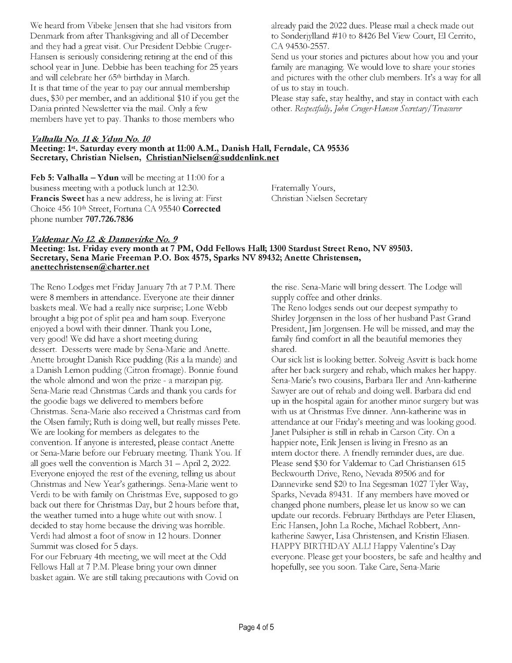We heard from Vibeke Jensen that she had visitors from Denmark from after Thanksgiving and all of December and they had a great visit. Our President Debbie Cruger-Hansen is seriously considering retiring at the end of this school year in June. Debbie has been teaching for 25 years and will celebrate her 65th birthday in March. It is that time of the year to pay our annual membership dues, \$30 per member, and an additional \$10 if you get the Dania printed Newsletter via the mail. Only a few members have yet to pay. Thanks to those members who

## Valhalla No. 11 & Ydun No. 10

#### Meeting: 1st. Saturday every month at 11:00 A.M., Danish Hall, Ferndale, CA 95536 Secretary, Christian Nielsen, ChristianNielsen@suddenlink.net

Feb 5: Valhalla  $-$  Ydun will be meeting at 11:00 for a business meeting with a potluck lunch at 12:30. Francis Sweet has a new address, he is living at: First Choice 456 10th Street, Fortuna CA 95540 Corrected phone number 707.726.7836

already paid the 2022 dues. Please mail a check made out to Sonderjylland #10 to 8426 Bel View Court, El Cerrito, CA 94530-2557.

Send us your stories and pictures about how you and your family are managing. We would love to share your stories and pictures with the other club members. It's a way for all of us to stay in touch.

Please stay safe, stay healthy, and stay in contact with each other. Respectfully, John Cruger-Hansen Secretary/Treasurer

Fraternally Yours, Christian Nielsen Secretary

#### Valdemar No 12 & Dannevirke No. 9

Meeting: 1st. Friday every month at 7 PM, Odd Fellows Hall; 1300 Stardust Street Reno, NV 89503. Secretary, Sena Marie Freeman P.O. Box 4575, Sparks NV 89432; Anette Christensen, anettechristensen@charter.net

The Reno Lodges met Friday January 7th at 7 P.M. There were 8 members in attendance. Everyone ate their dinner baskets meal. We had a really nice surprise; Lone Webb brought a big pot of split pea and ham soup. Everyone enjoyed a bowl with their dinner. Thank you Lone, very good! We did have a short meeting during dessert. Desserts were made by Sena -Marie and Anette. Anette brought Danish Rice pudding (Ris a la mande) and a Danish Lemon pudding (Citron fromage). Bonnie found the whole almond and won the prize - a marzipan pig. Sena -Marie read Christmas Cards and thank you cards for the goodie bags we delivered to members before Christmas. Sena -Marie also received a Christmas card from the Olsen family; Ruth is doing well, but really misses Pete. We are looking for members as delegates to the convention. If anyone is interested, please contact Anette or Sena -Marie before our February meeting. Thank You. If all goes well the convention is March  $31 -$ April 2, 2022. Everyone enjoyed the rest of the evening, telling us about Christmas and New Year's gatherings. Sena -Marie went to Verdi to be with family on Christmas Eve, supposed to go back out there for Christmas Day, but 2 hours before that, the weather turned into a huge white out with snow. I decided to stay home because the driving was horrible. Verdi had almost a foot of snow in 12 hours. Donner Summit was closed for 5 days.

For our February 4th meeting, we will meet at the Odd Fellows Hall at 7 P.M. Please bring your own dinner basket again. We are still taking precautions with Covid on the rise. Sena -Marie will bring dessert. The Lodge will supply coffee and other drinks.

The Reno lodges sends out our deepest sympathy to Shirley Jorgensen in the loss of her husband Past Grand President, Jim Jorgensen. He will be missed, and may the family find comfort in all the beautiful memories they shared.

Our sick list is looking better. Solveig Asvitt is back home after her back surgery and rehab, which makes her happy. Sena-Marie's two cousins, Barbara Iler and Ann-katherine Sawyer are out of rehab and doing well. Barbara did end up in the hospital again for another minor surgery but was with us at Christmas Eve dinner. Ann-katherine was in attendance at our Friday's meeting and was looking good. Janet Pulsipher is still in rehab in Carson City. On a happier note, Erik Jensen is living in Fresno as an intern doctor there. A friendly reminder dues, are due. Please send \$30 for Valdemar to Carl Christiansen 615 Beckwourth Drive, Reno, Nevada 89506 and for Dannevirke send \$20 to Ina Segesman 1027 Tyler Way, Sparks, Nevada 89431. If any members have moved or changed phone numbers, please let us know so we can update our records. February Birthdays are Peter Eliasen, Eric Hansen, John La Roche, Michael Robbert, Annkatherine Sawyer, Lisa Christensen, and Kristin Eliasen. HAPPY BIRTHDAY ALL! Happy Valentine's Day everyone. Please get your boosters, be safe and healthy and hopefully, see you soon. Take Care, Sena-Marie